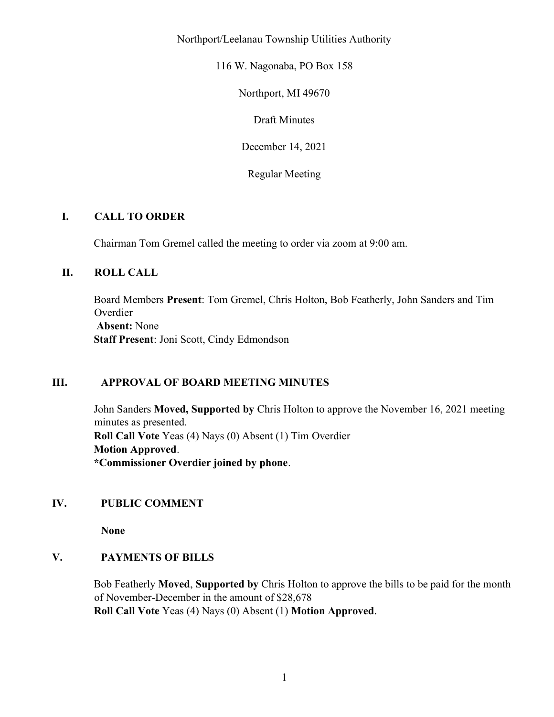Northport/Leelanau Township Utilities Authority

116 W. Nagonaba, PO Box 158

Northport, MI 49670

Draft Minutes

December 14, 2021

Regular Meeting

# I. CALL TO ORDER

Chairman Tom Gremel called the meeting to order via zoom at 9:00 am.

# II. ROLL CALL

Board Members Present: Tom Gremel, Chris Holton, Bob Featherly, John Sanders and Tim Overdier Absent: None Staff Present: Joni Scott, Cindy Edmondson

# III. APPROVAL OF BOARD MEETING MINUTES

John Sanders Moved, Supported by Chris Holton to approve the November 16, 2021 meeting minutes as presented. Roll Call Vote Yeas (4) Nays (0) Absent (1) Tim Overdier Motion Approved. \*Commissioner Overdier joined by phone.

# IV. PUBLIC COMMENT

None

# V. PAYMENTS OF BILLS

Bob Featherly Moved, Supported by Chris Holton to approve the bills to be paid for the month of November-December in the amount of \$28,678 Roll Call Vote Yeas (4) Nays (0) Absent (1) Motion Approved.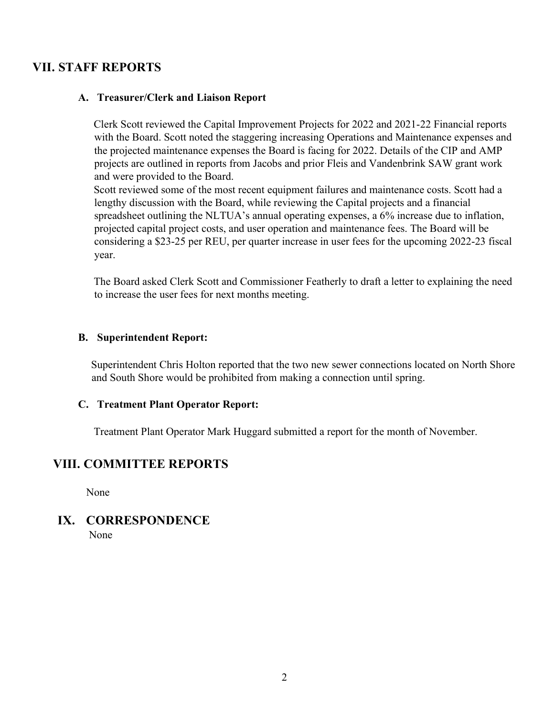# VII. STAFF REPORTS

### A. Treasurer/Clerk and Liaison Report

Clerk Scott reviewed the Capital Improvement Projects for 2022 and 2021-22 Financial reports with the Board. Scott noted the staggering increasing Operations and Maintenance expenses and the projected maintenance expenses the Board is facing for 2022. Details of the CIP and AMP projects are outlined in reports from Jacobs and prior Fleis and Vandenbrink SAW grant work and were provided to the Board.

Scott reviewed some of the most recent equipment failures and maintenance costs. Scott had a lengthy discussion with the Board, while reviewing the Capital projects and a financial spreadsheet outlining the NLTUA's annual operating expenses, a 6% increase due to inflation, projected capital project costs, and user operation and maintenance fees. The Board will be considering a \$23-25 per REU, per quarter increase in user fees for the upcoming 2022-23 fiscal year.

The Board asked Clerk Scott and Commissioner Featherly to draft a letter to explaining the need to increase the user fees for next months meeting.

#### B. Superintendent Report:

Superintendent Chris Holton reported that the two new sewer connections located on North Shore and South Shore would be prohibited from making a connection until spring.

#### C. Treatment Plant Operator Report:

Treatment Plant Operator Mark Huggard submitted a report for the month of November.

# VIII. COMMITTEE REPORTS

None

### IX. CORRESPONDENCE None